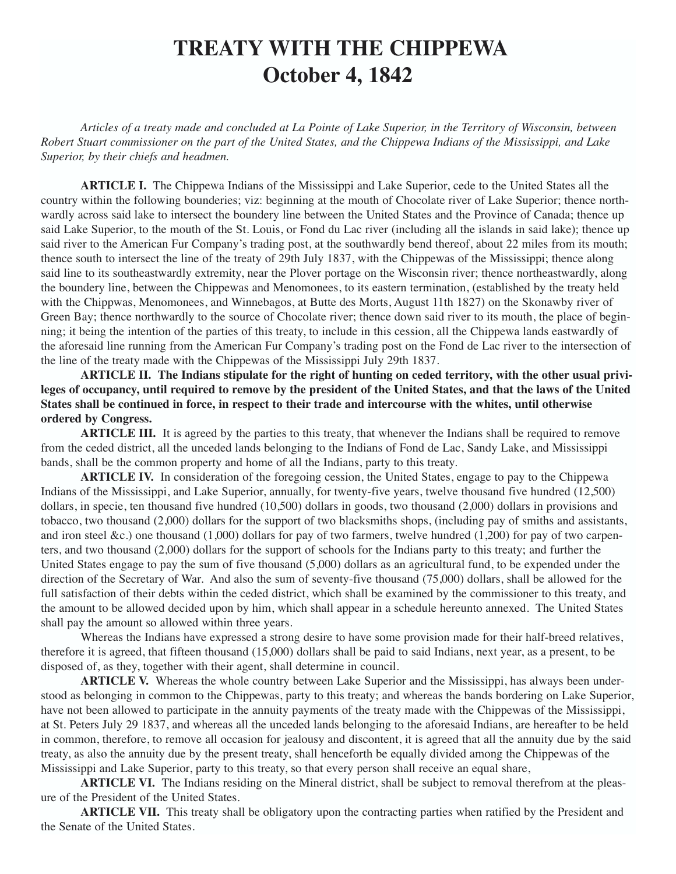## **TREATY WITH THE CHIPPEWA October 4, 1842**

*Articles of a treaty made and concluded at La Pointe of Lake Superior, in the Territory of Wisconsin, between Robert Stuart commissioner on the part of the United States, and the Chippewa Indians of the Mississippi, and Lake Superior, by their chiefs and headmen.*

**ARTICLE I.** The Chippewa Indians of the Mississippi and Lake Superior, cede to the United States all the country within the following bounderies; viz: beginning at the mouth of Chocolate river of Lake Superior; thence northwardly across said lake to intersect the boundery line between the United States and the Province of Canada; thence up said Lake Superior, to the mouth of the St. Louis, or Fond du Lac river (including all the islands in said lake); thence up said river to the American Fur Company's trading post, at the southwardly bend thereof, about 22 miles from its mouth; thence south to intersect the line of the treaty of 29th July 1837, with the Chippewas of the Mississippi; thence along said line to its southeastwardly extremity, near the Plover portage on the Wisconsin river; thence northeastwardly, along the boundery line, between the Chippewas and Menomonees, to its eastern termination, (established by the treaty held with the Chippwas, Menomonees, and Winnebagos, at Butte des Morts, August 11th 1827) on the Skonawby river of Green Bay; thence northwardly to the source of Chocolate river; thence down said river to its mouth, the place of beginning; it being the intention of the parties of this treaty, to include in this cession, all the Chippewa lands eastwardly of the aforesaid line running from the American Fur Company's trading post on the Fond de Lac river to the intersection of the line of the treaty made with the Chippewas of the Mississippi July 29th 1837.

**ARTICLE II. The Indians stipulate for the right of hunting on ceded territory, with the other usual privileges of occupancy, until required to remove by the president of the United States, and that the laws of the United States shall be continued in force, in respect to their trade and intercourse with the whites, until otherwise ordered by Congress.**

**ARTICLE III.** It is agreed by the parties to this treaty, that whenever the Indians shall be required to remove from the ceded district, all the unceded lands belonging to the Indians of Fond de Lac, Sandy Lake, and Mississippi bands, shall be the common property and home of all the Indians, party to this treaty.

**ARTICLE IV.** In consideration of the foregoing cession, the United States, engage to pay to the Chippewa Indians of the Mississippi, and Lake Superior, annually, for twenty-five years, twelve thousand five hundred (12,500) dollars, in specie, ten thousand five hundred (10,500) dollars in goods, two thousand (2,000) dollars in provisions and tobacco, two thousand (2,000) dollars for the support of two blacksmiths shops, (including pay of smiths and assistants, and iron steel &c.) one thousand (1,000) dollars for pay of two farmers, twelve hundred (1,200) for pay of two carpenters, and two thousand (2,000) dollars for the support of schools for the Indians party to this treaty; and further the United States engage to pay the sum of five thousand (5,000) dollars as an agricultural fund, to be expended under the direction of the Secretary of War. And also the sum of seventy-five thousand (75,000) dollars, shall be allowed for the full satisfaction of their debts within the ceded district, which shall be examined by the commissioner to this treaty, and the amount to be allowed decided upon by him, which shall appear in a schedule hereunto annexed. The United States shall pay the amount so allowed within three years.

Whereas the Indians have expressed a strong desire to have some provision made for their half-breed relatives, therefore it is agreed, that fifteen thousand (15,000) dollars shall be paid to said Indians, next year, as a present, to be disposed of, as they, together with their agent, shall determine in council.

**ARTICLE V.** Whereas the whole country between Lake Superior and the Mississippi, has always been understood as belonging in common to the Chippewas, party to this treaty; and whereas the bands bordering on Lake Superior, have not been allowed to participate in the annuity payments of the treaty made with the Chippewas of the Mississippi, at St. Peters July 29 1837, and whereas all the unceded lands belonging to the aforesaid Indians, are hereafter to be held in common, therefore, to remove all occasion for jealousy and discontent, it is agreed that all the annuity due by the said treaty, as also the annuity due by the present treaty, shall henceforth be equally divided among the Chippewas of the Mississippi and Lake Superior, party to this treaty, so that every person shall receive an equal share,

**ARTICLE VI.** The Indians residing on the Mineral district, shall be subject to removal therefrom at the pleasure of the President of the United States.

**ARTICLE VII.** This treaty shall be obligatory upon the contracting parties when ratified by the President and the Senate of the United States.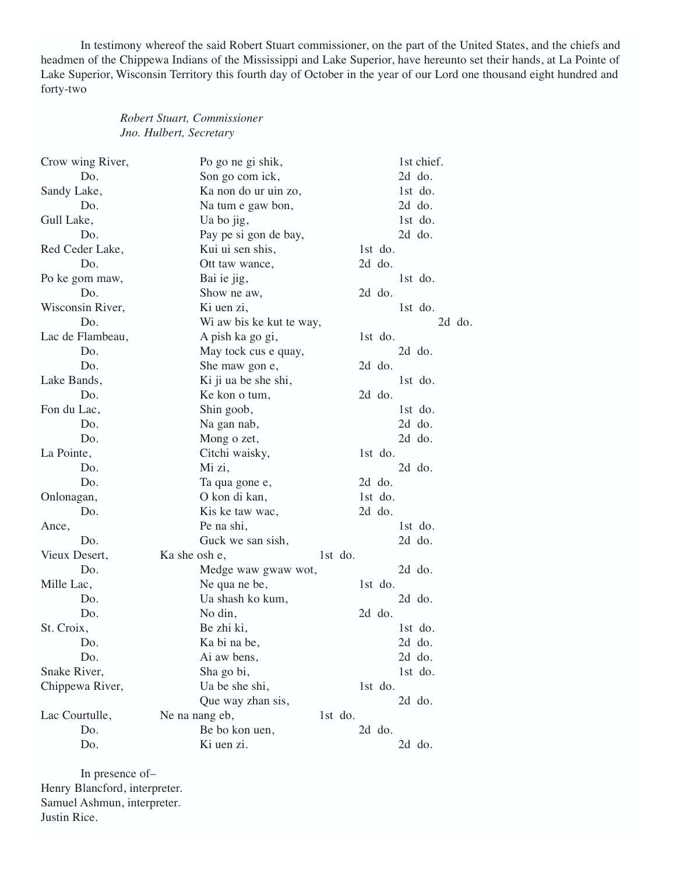In testimony whereof the said Robert Stuart commissioner, on the part of the United States, and the chiefs and headmen of the Chippewa Indians of the Mississippi and Lake Superior, have hereunto set their hands, at La Pointe of Lake Superior, Wisconsin Territory this fourth day of October in the year of our Lord one thousand eight hundred and forty-two

## *Robert Stuart, Commissioner Jno. Hulbert, Secretary*

| Crow wing River, | Po go ne gi shik,        | 1st chief. |
|------------------|--------------------------|------------|
| Do.              | Son go com ick,          | 2d do.     |
| Sandy Lake,      | Ka non do ur uin zo,     | 1st do.    |
| Do.              | Na tum e gaw bon,        | $2d$ do.   |
| Gull Lake,       | Ua bo jig,               | 1st do.    |
| Do.              | Pay pe si gon de bay,    | $2d$ do.   |
| Red Ceder Lake,  | Kui ui sen shis,         | 1st do.    |
| D <sub>0</sub> . | Ott taw wance,           | $2d$ do.   |
| Po ke gom maw,   | Bai ie jig,              | $1st$ do.  |
| Do.              | Show ne aw,              | $2d$ do.   |
| Wisconsin River, | Ki uen zi,               | 1st do.    |
| Do.              | Wi aw bis ke kut te way, | 2d do.     |
| Lac de Flambeau, | A pish ka go gi,         | 1st do.    |
| Do.              | May tock cus e quay,     | 2d do.     |
| Do.              | She maw gon e,           | $2d$ do.   |
| Lake Bands,      | Ki ji ua be she shi,     | 1st do.    |
| Do.              | Ke kon o tum,            | $2d$ do.   |
| Fon du Lac,      | Shin goob,               | $1st$ do.  |
| Do.              | Na gan nab,              | $2d$ do.   |
| Do.              | Mong o zet,              | $2d$ do.   |
| La Pointe,       | Citchi waisky,           | 1st do.    |
| Do.              | Mi zi,                   | 2d do.     |
| Do.              | Ta qua gone e,           | $2d$ do.   |
| Onlonagan,       | O kon di kan,            | 1st do.    |
| Do.              | Kis ke taw wac,          | $2d$ do.   |
| Ance,            | Pe na shi,               | $1st$ do.  |
| Do.              | Guck we san sish,        | 2d do.     |
| Vieux Desert,    | Ka she osh e,            | 1st do.    |
| Do.              | Medge waw gwaw wot,      | 2d do.     |
| Mille Lac,       | Ne qua ne be,            | 1st do.    |
| Do.              | Ua shash ko kum,         | 2d do.     |
| Do.              | No din,                  | $2d$ do.   |
| St. Croix,       | Be zhi ki,               | $1st$ do.  |
| Do.              | Ka bi na be,             | $2d$ do.   |
| Do.              | Ai aw bens,              | 2d do.     |
| Snake River,     | Sha go bi,               | 1st do.    |
| Chippewa River,  | Ua be she shi,           | 1st do.    |
|                  | Que way zhan sis,        | 2d do.     |
| Lac Courtulle,   | Ne na nang eb,           | 1st do.    |
| Do.              | Be bo kon uen,           | $2d$ do.   |
| Do.              | Ki uen zi.               | 2d do.     |

In presence of– Henry Blancford, interpreter. Samuel Ashmun, interpreter. Justin Rice.